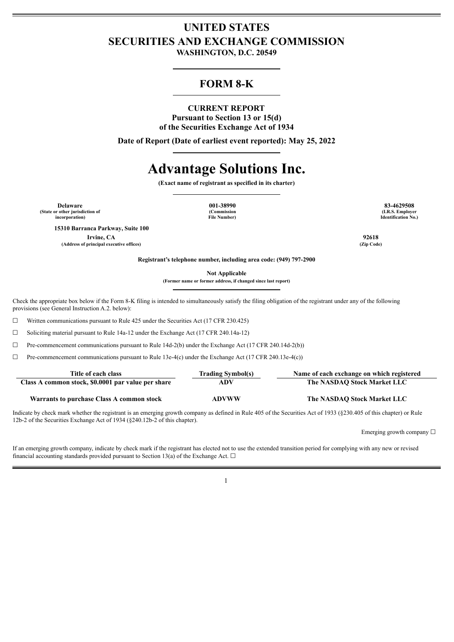## **UNITED STATES SECURITIES AND EXCHANGE COMMISSION**

**WASHINGTON, D.C. 20549**

### **FORM 8-K**

#### **CURRENT REPORT**

**Pursuant to Section 13 or 15(d) of the Securities Exchange Act of 1934**

**Date of Report (Date of earliest event reported): May 25, 2022**

# **Advantage Solutions Inc.**

**(Exact name of registrant as specified in its charter)**

**Delaware 001-38990 83-4629508 (State or other jurisdiction of (Commission (I.R.S. Employer**

**15310 Barranca Parkway, Suite 100**

**Irvine, CA 92618 (Address of principal executive offices) (Zip Code)**

**incorporation) File Number) Identification No.)**

**Registrant's telephone number, including area code: (949) 797-2900**

**Not Applicable**

**(Former name or former address, if changed since last report)**

Check the appropriate box below if the Form 8-K filing is intended to simultaneously satisfy the filing obligation of the registrant under any of the following provisions (see General Instruction A.2. below):

 $\Box$  Written communications pursuant to Rule 425 under the Securities Act (17 CFR 230.425)

☐ Soliciting material pursuant to Rule 14a-12 under the Exchange Act (17 CFR 240.14a-12)

 $\Box$  Pre-commencement communications pursuant to Rule 14d-2(b) under the Exchange Act (17 CFR 240.14d-2(b))

 $\Box$  Pre-commencement communications pursuant to Rule 13e-4(c) under the Exchange Act (17 CFR 240.13e-4(c))

| Title of each class                                | <b>Trading Symbol(s)</b> | Name of each exchange on which registered |
|----------------------------------------------------|--------------------------|-------------------------------------------|
| Class A common stock, \$0.0001 par value per share | ADV                      | The NASDAO Stock Market LLC               |
| Warrants to purchase Class A common stock          | <b>ADVWW</b>             | The NASDAO Stock Market LLC               |

Indicate by check mark whether the registrant is an emerging growth company as defined in Rule 405 of the Securities Act of 1933 (§230.405 of this chapter) or Rule 12b-2 of the Securities Exchange Act of 1934 (§240.12b-2 of this chapter).

Emerging growth company  $\Box$ 

If an emerging growth company, indicate by check mark if the registrant has elected not to use the extended transition period for complying with any new or revised financial accounting standards provided pursuant to Section 13(a) of the Exchange Act.  $\Box$ 

1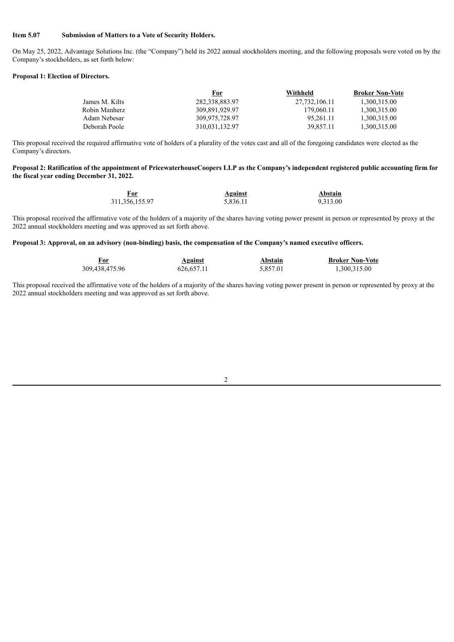#### **Item 5.07 Submission of Matters to a Vote of Security Holders.**

On May 25, 2022, Advantage Solutions Inc. (the "Company") held its 2022 annual stockholders meeting, and the following proposals were voted on by the Company's stockholders, as set forth below:

#### **Proposal 1: Election of Directors.**

|                | For            | Withheld      | <b>Broker Non-Vote</b> |
|----------------|----------------|---------------|------------------------|
| James M. Kilts | 282,338,883.97 | 27,732,106.11 | 1.300.315.00           |
| Robin Manherz  | 309.891.929.97 | 179,060.11    | 1,300,315.00           |
| Adam Nebesar   | 309.975.728.97 | 95.261.11     | 1,300,315.00           |
| Deborah Poole  | 310,031,132.97 | 39.857.11     | 1,300,315.00           |

This proposal received the required affirmative vote of holders of a plurality of the votes cast and all of the foregoing candidates were elected as the Company's directors.

#### Proposal 2: Ratification of the appointment of PricewaterhouseCoopers LLP as the Company's independent registered public accounting firm for **the fiscal year ending December 31, 2022.**

| For               | <b>Against</b> | Abstain  |
|-------------------|----------------|----------|
| 311, 356, 155. 97 | 5,836.11       | 9,313.00 |

This proposal received the affirmative vote of the holders of a majority of the shares having voting power present in person or represented by proxy at the 2022 annual stockholders meeting and was approved as set forth above.

Proposal 3: Approval, on an advisory (non-binding) basis, the compensation of the Company's named executive officers.

| For            | <b>Against</b> | Abstain  | <b>Broker Non-Vote</b> |
|----------------|----------------|----------|------------------------|
| 309,438,475.96 | 626, 657.11    | 5,857.01 | 1,300,315.00           |

This proposal received the affirmative vote of the holders of a majority of the shares having voting power present in person or represented by proxy at the 2022 annual stockholders meeting and was approved as set forth above.